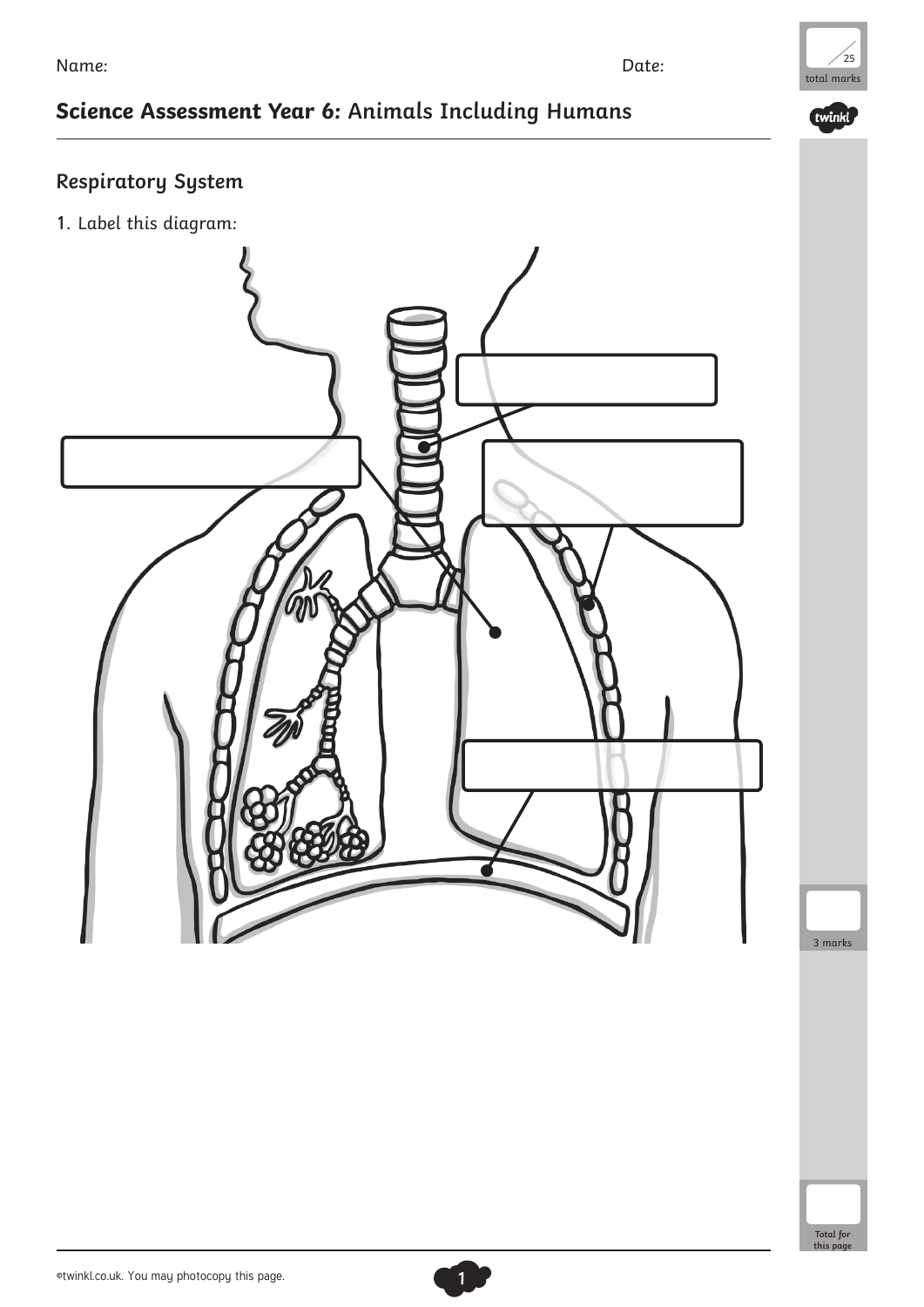# total marks  $25$

twinkl

## **Science Assessment Year 6: Animals Including Humans**

### **Respiratory System**

1. Label this diagram:



3 marks

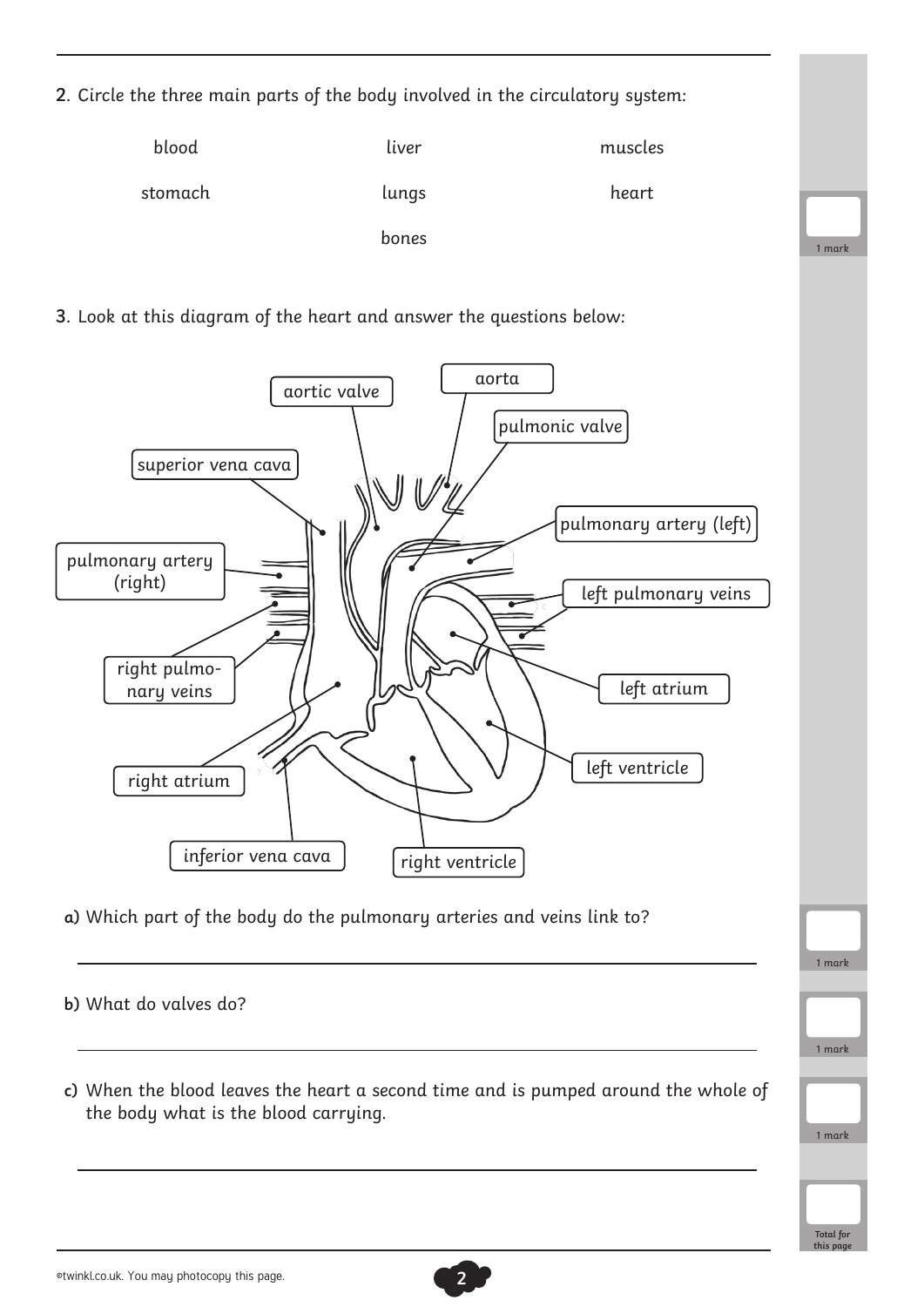2. Circle the three main parts of the body involved in the circulatory system:

| blood   | liver | muscles |
|---------|-------|---------|
| stomach | lungs | heart   |
|         | bones |         |

3. Look at this diagram of the heart and answer the questions below:



a) Which part of the body do the pulmonary arteries and veins link to?

b) What do valves do?

c) When the blood leaves the heart a second time and is pumped around the whole of the body what is the blood carrying.

1 mark

1 mark

1 mark

**Total for this page**

1 mark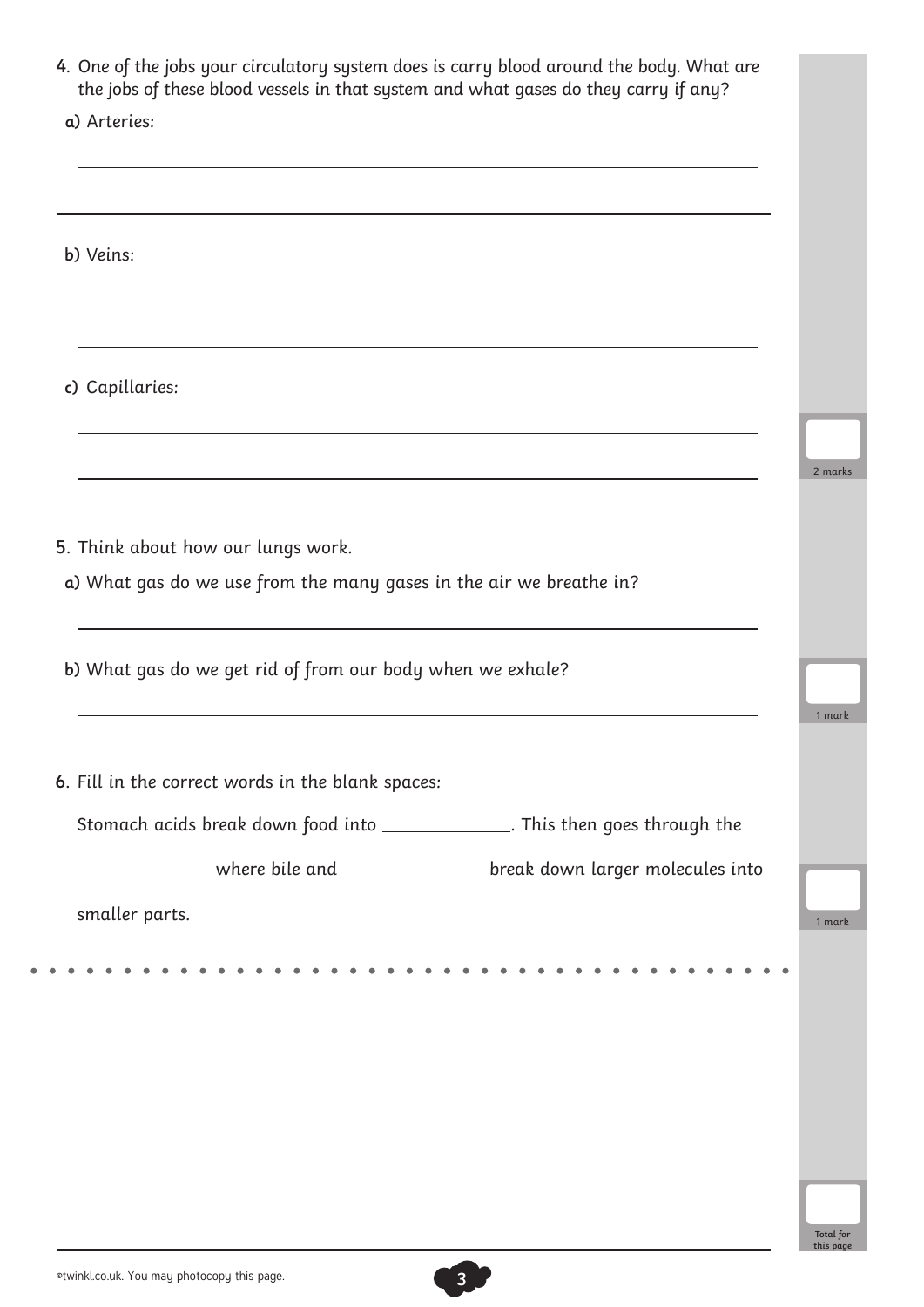| a) Arteries:                                                                   |  |
|--------------------------------------------------------------------------------|--|
|                                                                                |  |
|                                                                                |  |
| b) Veins:                                                                      |  |
|                                                                                |  |
|                                                                                |  |
|                                                                                |  |
|                                                                                |  |
| c) Capillaries:                                                                |  |
|                                                                                |  |
|                                                                                |  |
|                                                                                |  |
|                                                                                |  |
| 5. Think about how our lungs work.                                             |  |
| a) What gas do we use from the many gases in the air we breathe in?            |  |
|                                                                                |  |
|                                                                                |  |
| b) What gas do we get rid of from our body when we exhale?                     |  |
|                                                                                |  |
|                                                                                |  |
| 6. Fill in the correct words in the blank spaces:                              |  |
| Stomach acids break down food into _______________. This then goes through the |  |
|                                                                                |  |
| ___________ where bile and __________________ break down larger molecules into |  |
|                                                                                |  |

 $\blacksquare$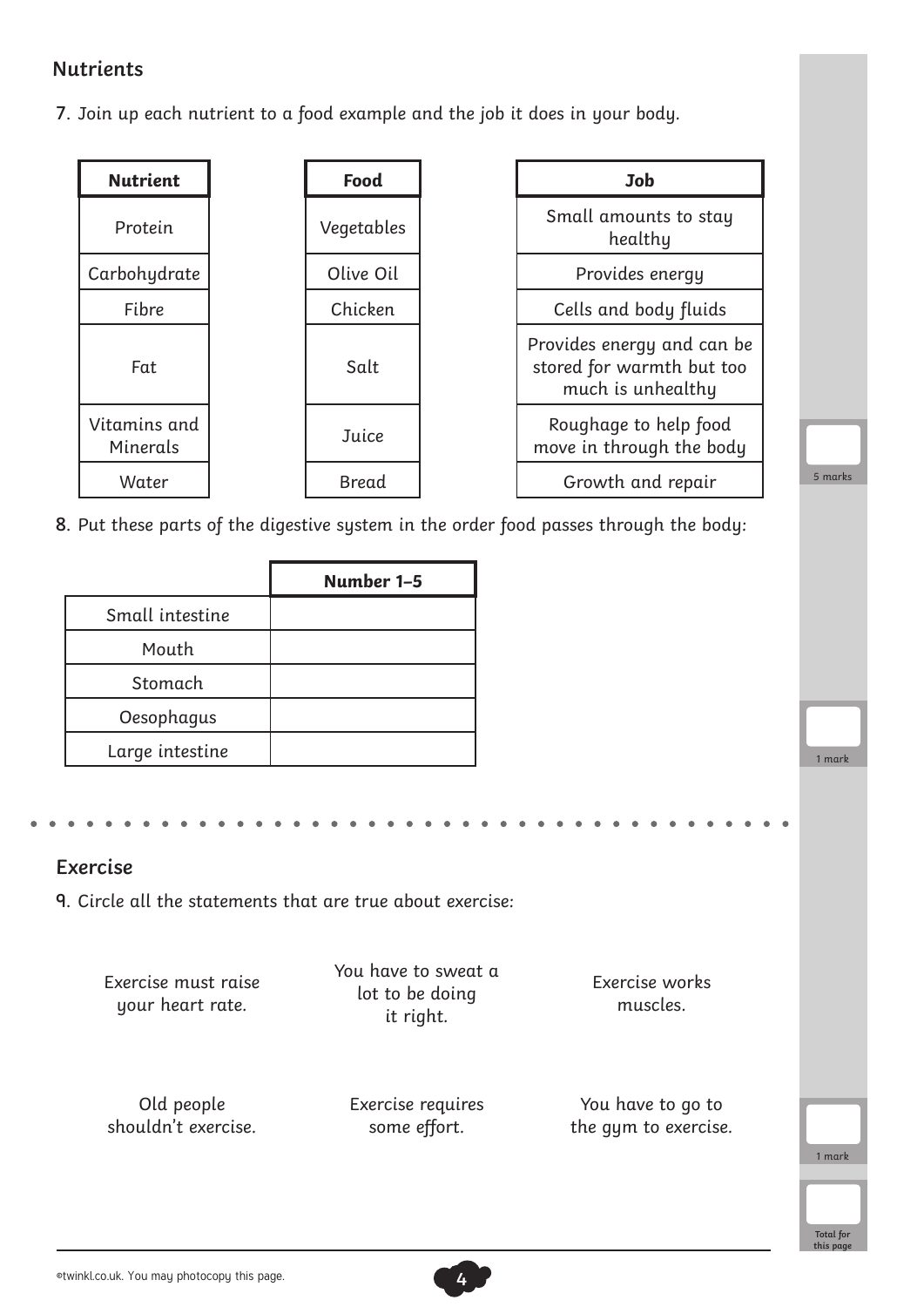#### **Nutrients**

7. Join up each nutrient to a food example and the job it does in your body.

| <b>Nutrient</b>          | Food         | Job                                                                        |
|--------------------------|--------------|----------------------------------------------------------------------------|
| Protein                  | Vegetables   | Small amounts to stay<br>healthy                                           |
| Carbohydrate             | Olive Oil    | Provides energy                                                            |
| Fibre                    | Chicken      | Cells and body fluids                                                      |
| Fat                      | Salt         | Provides energy and can I<br>stored for warmth but to<br>much is unhealthy |
| Vitamins and<br>Minerals | Juice        | Roughage to help food<br>move in through the bod                           |
| Water                    | <b>Bread</b> | Growth and repair                                                          |

| Small amounts to stay<br>healthy                                             |
|------------------------------------------------------------------------------|
| Provides energy                                                              |
| Cells and body fluids                                                        |
| Provides energy and can be<br>stored for warmth but too<br>much is unhealthy |
| Roughage to help food<br>move in through the body                            |
| Growth and repair                                                            |



1 mark

**Total for this page**

8. Put these parts of the digestive system in the order food passes through the body:

|                 | Number 1-5 |
|-----------------|------------|
| Small intestine |            |
| Mouth           |            |
| Stomach         |            |
| Oesophagus      |            |
| Large intestine |            |

#### **Exercise**

9. Circle all the statements that are true about exercise:

| Exercise must raise<br>your heart rate. | You have to sweat a<br>lot to be doing<br>it right. | Exercise works<br>muscles. |        |
|-----------------------------------------|-----------------------------------------------------|----------------------------|--------|
| Old people                              | Exercise requires                                   | You have to go to          | 1 mark |
| shouldn't exercise.                     | some effort.                                        | the gym to exercise.       |        |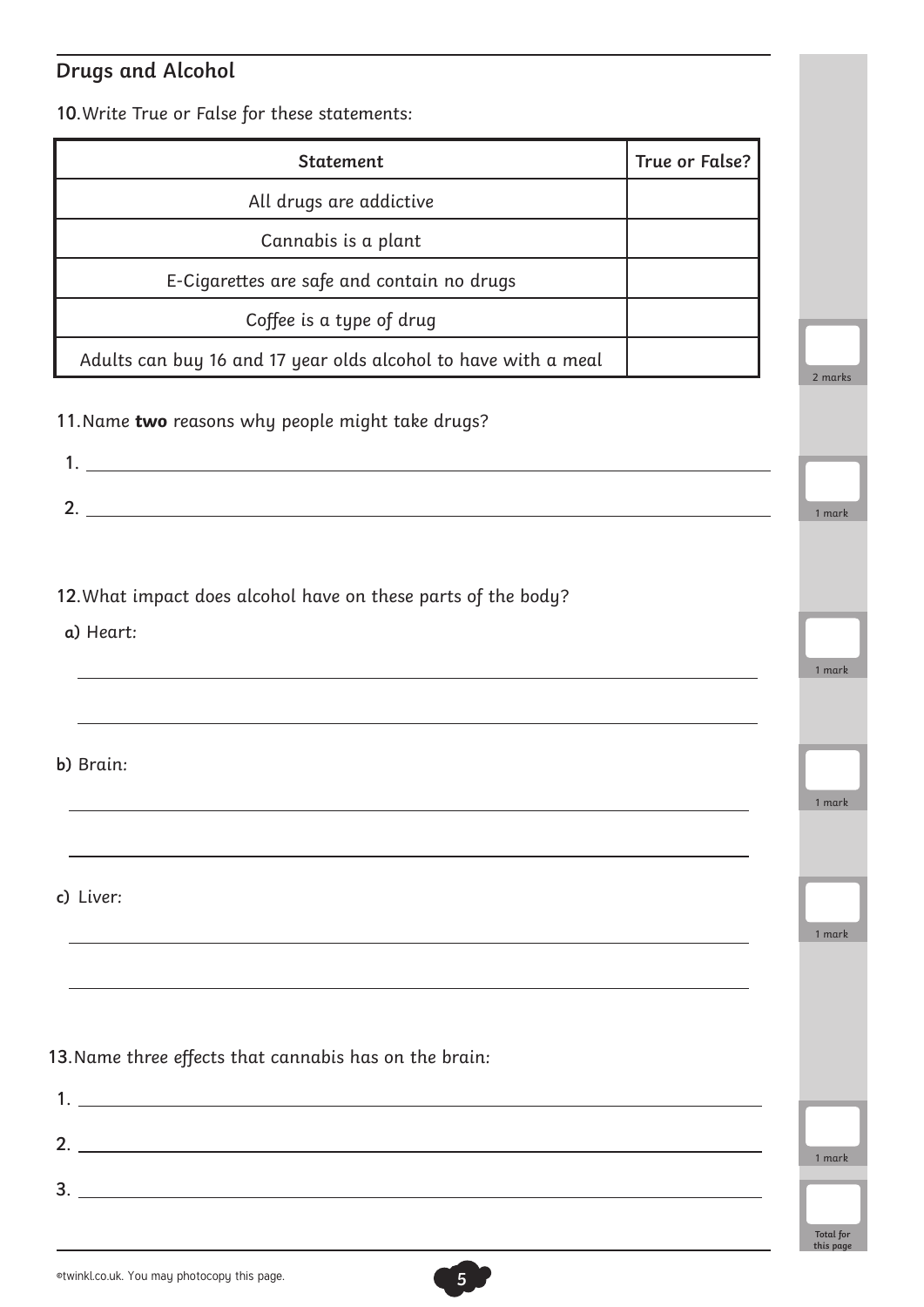## **Drugs and Alcohol**

10.Write True or False for these statements:

| <b>Statement</b>                                                           | True or False? |
|----------------------------------------------------------------------------|----------------|
| All drugs are addictive                                                    |                |
| Cannabis is a plant                                                        |                |
| E-Cigarettes are safe and contain no drugs                                 |                |
| Coffee is a type of drug                                                   |                |
| Adults can buy 16 and 17 year olds alcohol to have with a meal             |                |
| 11. Name two reasons why people might take drugs?<br>2.                    |                |
| 12. What impact does alcohol have on these parts of the body?<br>a) Heart: |                |
| b) Brain:                                                                  |                |
| c) Liver:                                                                  |                |
| 13. Name three effects that cannabis has on the brain:                     |                |
| $\mathbf{3.}$ $\blacksquare$                                               |                |
|                                                                            |                |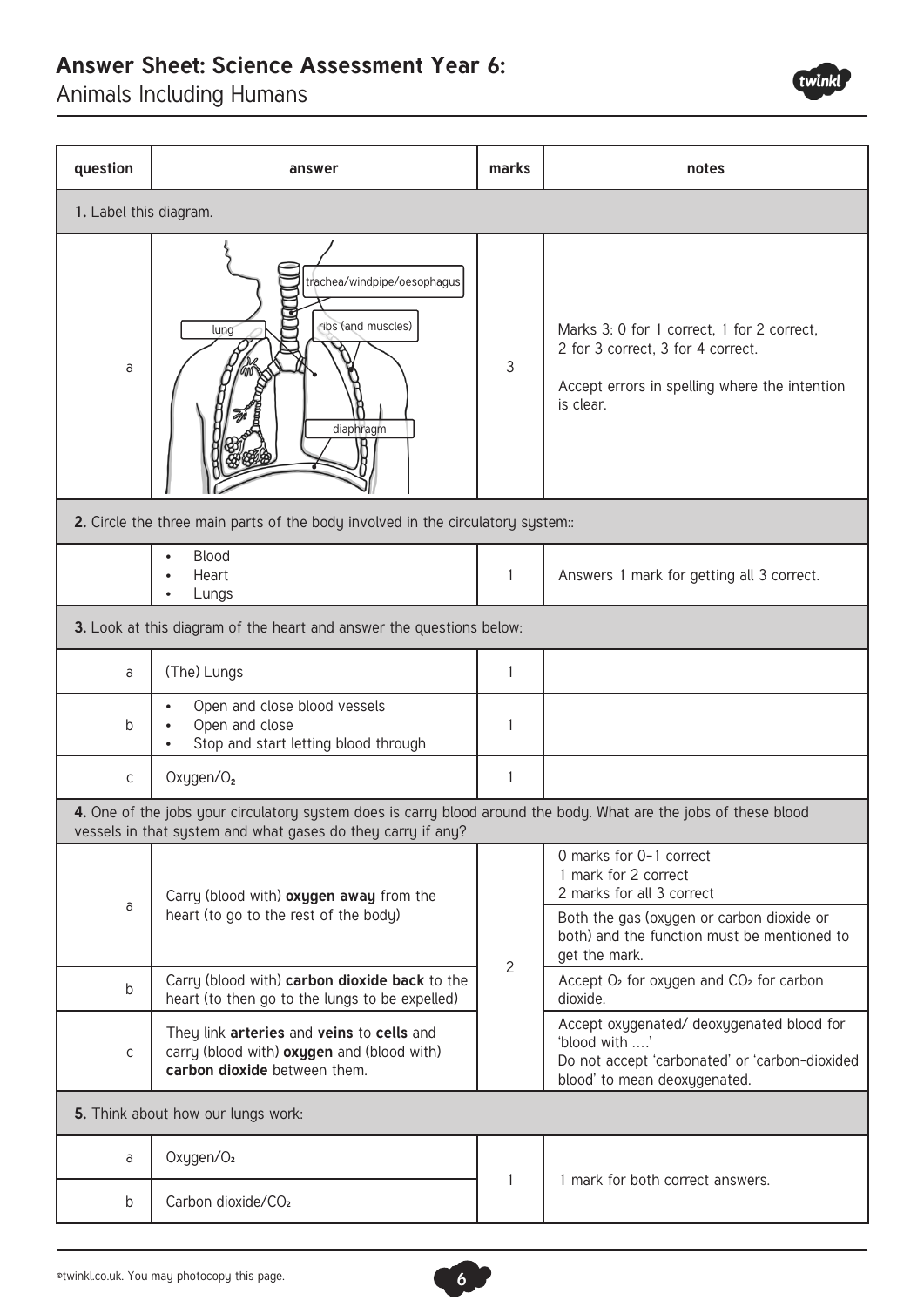### **Answer Sheet: Science Assessment Year 6:**

Animals Including Humans



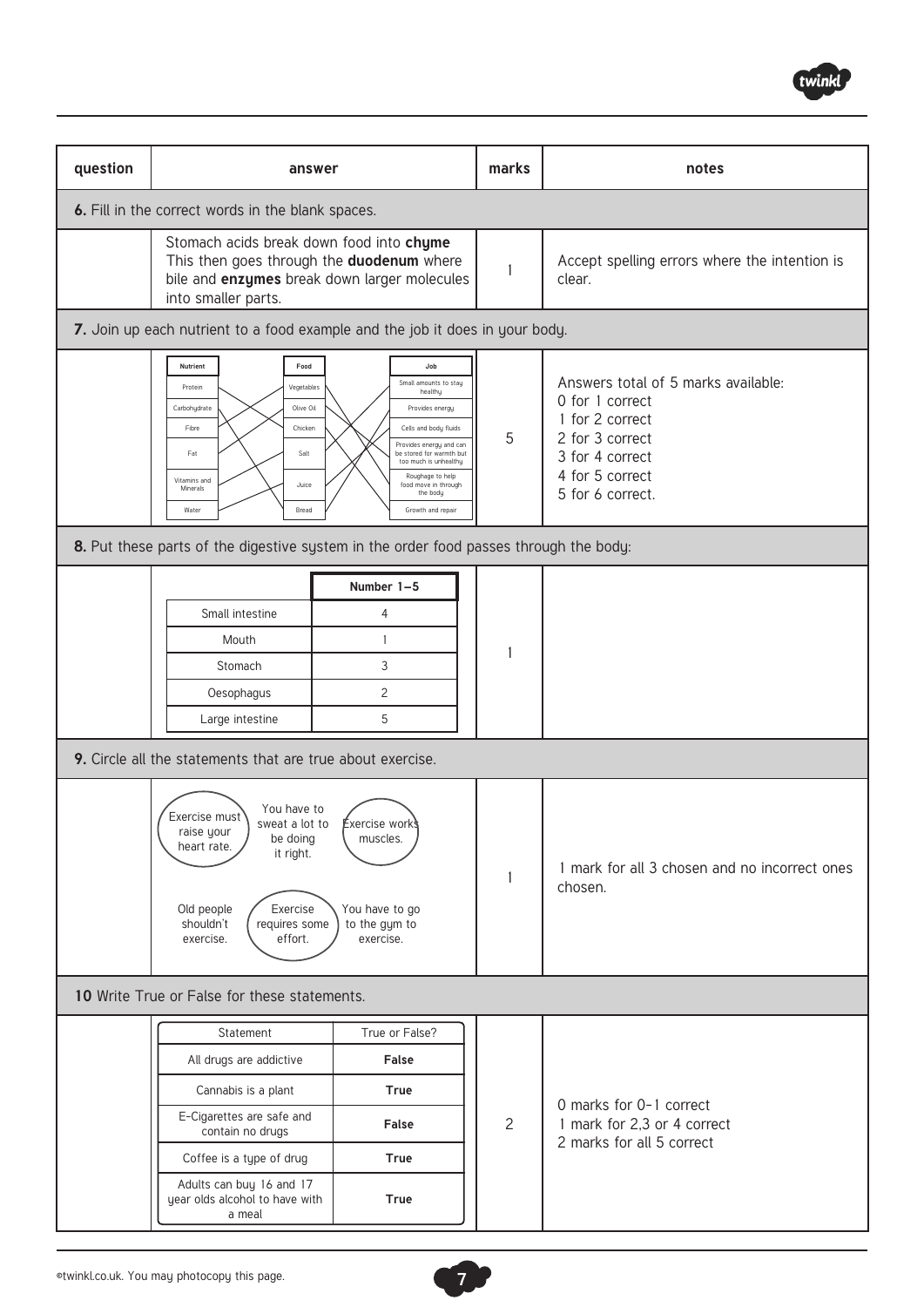

| question                                                                                                                                                                                                                                                                                                                                                                                                             | answer                                                                                                                                                       |                                                | marks                                                    | notes                                                                                                                                                  |  |
|----------------------------------------------------------------------------------------------------------------------------------------------------------------------------------------------------------------------------------------------------------------------------------------------------------------------------------------------------------------------------------------------------------------------|--------------------------------------------------------------------------------------------------------------------------------------------------------------|------------------------------------------------|----------------------------------------------------------|--------------------------------------------------------------------------------------------------------------------------------------------------------|--|
|                                                                                                                                                                                                                                                                                                                                                                                                                      | 6. Fill in the correct words in the blank spaces.                                                                                                            |                                                |                                                          |                                                                                                                                                        |  |
|                                                                                                                                                                                                                                                                                                                                                                                                                      | Stomach acids break down food into chyme<br>This then goes through the duodenum where<br>bile and enzymes break down larger molecules<br>into smaller parts. |                                                | $\mathbf{1}$                                             | Accept spelling errors where the intention is<br>clear.                                                                                                |  |
|                                                                                                                                                                                                                                                                                                                                                                                                                      | 7. Join up each nutrient to a food example and the job it does in your body.                                                                                 |                                                |                                                          |                                                                                                                                                        |  |
| Food<br>Nutrient<br>Job<br>Small amounts to stay<br>Vegetables<br>Protein<br>healthy<br>Olive Oil<br>Carbohydrate<br>Provides energy<br>Fibre<br>Chicken<br>Cells and body fluids<br>Provides energy and can<br>Fat<br>Salt<br>be stored for warmth but<br>too much is unhealthy<br>Roughage to help<br>Vitamins and<br>Juice<br>food move in through<br>Minerals<br>the body<br>Water<br>Bread<br>Growth and repair |                                                                                                                                                              |                                                | 5                                                        | Answers total of 5 marks available:<br>0 for 1 correct<br>1 for 2 correct<br>2 for 3 correct<br>3 for 4 correct<br>4 for 5 correct<br>5 for 6 correct. |  |
|                                                                                                                                                                                                                                                                                                                                                                                                                      | 8. Put these parts of the digestive system in the order food passes through the body:                                                                        |                                                |                                                          |                                                                                                                                                        |  |
|                                                                                                                                                                                                                                                                                                                                                                                                                      | Small intestine<br>Mouth<br>Stomach<br>Oesophagus<br>Large intestine                                                                                         | Number 1-5<br>4<br>$\mathbf{1}$<br>3<br>2<br>5 |                                                          |                                                                                                                                                        |  |
|                                                                                                                                                                                                                                                                                                                                                                                                                      | 9. Circle all the statements that are true about exercise.                                                                                                   |                                                |                                                          |                                                                                                                                                        |  |
| You have to<br>Exercise must<br><b>Exercise works</b><br>sweat a lot to<br>raise your<br>be doing<br>muscles.<br>heart rate.<br>it right.<br>Exercise<br>You have to go<br>Old people<br>to the gym to<br>shouldn't<br>requires some<br>effort.<br>exercise.<br>exercise.                                                                                                                                            |                                                                                                                                                              |                                                | 1 mark for all 3 chosen and no incorrect ones<br>chosen. |                                                                                                                                                        |  |
| 10 Write True or False for these statements.                                                                                                                                                                                                                                                                                                                                                                         |                                                                                                                                                              |                                                |                                                          |                                                                                                                                                        |  |
|                                                                                                                                                                                                                                                                                                                                                                                                                      | Statement                                                                                                                                                    | True or False?                                 |                                                          |                                                                                                                                                        |  |
|                                                                                                                                                                                                                                                                                                                                                                                                                      | All drugs are addictive<br>Cannabis is a plant                                                                                                               | False<br><b>True</b>                           |                                                          |                                                                                                                                                        |  |
|                                                                                                                                                                                                                                                                                                                                                                                                                      | E-Cigarettes are safe and<br>contain no drugs                                                                                                                | False                                          | $\overline{c}$                                           | 0 marks for 0-1 correct<br>1 mark for 2,3 or 4 correct                                                                                                 |  |
|                                                                                                                                                                                                                                                                                                                                                                                                                      | Coffee is a type of drug                                                                                                                                     | True                                           |                                                          | 2 marks for all 5 correct                                                                                                                              |  |
|                                                                                                                                                                                                                                                                                                                                                                                                                      | Adults can buy 16 and 17<br>year olds alcohol to have with<br>a meal                                                                                         | True                                           |                                                          |                                                                                                                                                        |  |